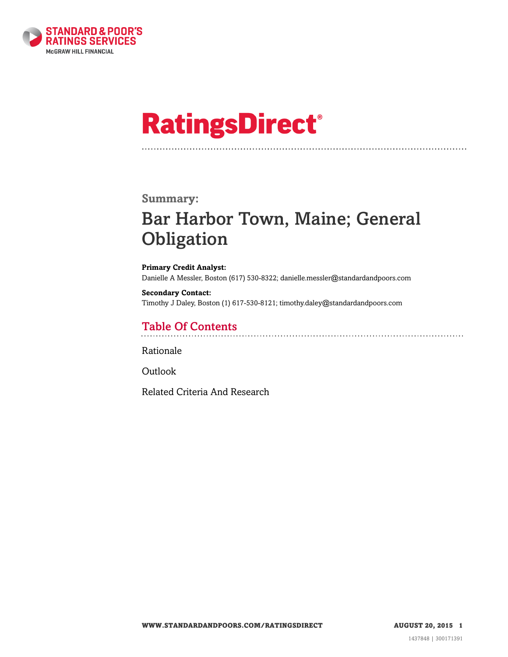

# **RatingsDirect®**

### **Summary:**

# Bar Harbor Town, Maine; General **Obligation**

**Primary Credit Analyst:** Danielle A Messler, Boston (617) 530-8322; danielle.messler@standardandpoors.com

**Secondary Contact:** Timothy J Daley, Boston (1) 617-530-8121; timothy.daley@standardandpoors.com

## Table Of Contents

[Rationale](#page-1-0)

[Outlook](#page-4-0)

[Related Criteria And Research](#page-4-1)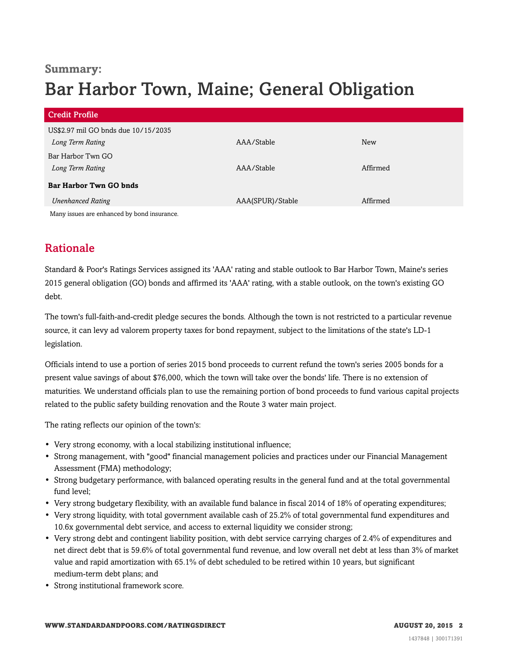### **Summary:**

# Bar Harbor Town, Maine; General Obligation

| <b>Credit Profile</b>                                   |                  |            |
|---------------------------------------------------------|------------------|------------|
| US\$2.97 mil GO bnds due 10/15/2035<br>Long Term Rating | AAA/Stable       | <b>New</b> |
| Bar Harbor Twn GO<br>Long Term Rating                   | AAA/Stable       | Affirmed   |
| <b>Bar Harbor Twn GO bnds</b>                           |                  |            |
| <b>Unenhanced Rating</b>                                | AAA(SPUR)/Stable | Affirmed   |
| Many issues are enhanced by bond insurance.             |                  |            |

<span id="page-1-0"></span>

# Rationale

Standard & Poor's Ratings Services assigned its 'AAA' rating and stable outlook to Bar Harbor Town, Maine's series 2015 general obligation (GO) bonds and affirmed its 'AAA' rating, with a stable outlook, on the town's existing GO debt.

The town's full-faith-and-credit pledge secures the bonds. Although the town is not restricted to a particular revenue source, it can levy ad valorem property taxes for bond repayment, subject to the limitations of the state's LD-1 legislation.

Officials intend to use a portion of series 2015 bond proceeds to current refund the town's series 2005 bonds for a present value savings of about \$76,000, which the town will take over the bonds' life. There is no extension of maturities. We understand officials plan to use the remaining portion of bond proceeds to fund various capital projects related to the public safety building renovation and the Route 3 water main project.

The rating reflects our opinion of the town's:

- Very strong economy, with a local stabilizing institutional influence;
- Strong management, with "good" financial management policies and practices under our Financial Management Assessment (FMA) methodology;
- Strong budgetary performance, with balanced operating results in the general fund and at the total governmental fund level;
- Very strong budgetary flexibility, with an available fund balance in fiscal 2014 of 18% of operating expenditures;
- Very strong liquidity, with total government available cash of 25.2% of total governmental fund expenditures and 10.6x governmental debt service, and access to external liquidity we consider strong;
- Very strong debt and contingent liability position, with debt service carrying charges of 2.4% of expenditures and net direct debt that is 59.6% of total governmental fund revenue, and low overall net debt at less than 3% of market value and rapid amortization with 65.1% of debt scheduled to be retired within 10 years, but significant medium-term debt plans; and
- Strong institutional framework score.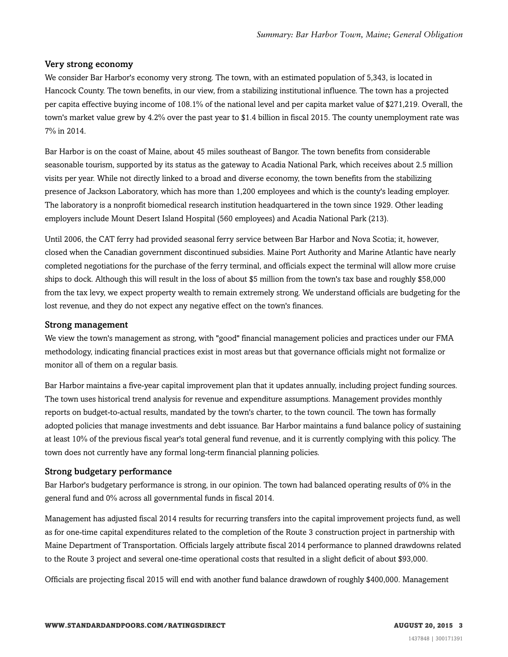#### Very strong economy

We consider Bar Harbor's economy very strong. The town, with an estimated population of 5,343, is located in Hancock County. The town benefits, in our view, from a stabilizing institutional influence. The town has a projected per capita effective buying income of 108.1% of the national level and per capita market value of \$271,219. Overall, the town's market value grew by 4.2% over the past year to \$1.4 billion in fiscal 2015. The county unemployment rate was 7% in 2014.

Bar Harbor is on the coast of Maine, about 45 miles southeast of Bangor. The town benefits from considerable seasonable tourism, supported by its status as the gateway to Acadia National Park, which receives about 2.5 million visits per year. While not directly linked to a broad and diverse economy, the town benefits from the stabilizing presence of Jackson Laboratory, which has more than 1,200 employees and which is the county's leading employer. The laboratory is a nonprofit biomedical research institution headquartered in the town since 1929. Other leading employers include Mount Desert Island Hospital (560 employees) and Acadia National Park (213).

Until 2006, the CAT ferry had provided seasonal ferry service between Bar Harbor and Nova Scotia; it, however, closed when the Canadian government discontinued subsidies. Maine Port Authority and Marine Atlantic have nearly completed negotiations for the purchase of the ferry terminal, and officials expect the terminal will allow more cruise ships to dock. Although this will result in the loss of about \$5 million from the town's tax base and roughly \$58,000 from the tax levy, we expect property wealth to remain extremely strong. We understand officials are budgeting for the lost revenue, and they do not expect any negative effect on the town's finances.

#### Strong management

We view the town's management as strong, with "good" financial management policies and practices under our FMA methodology, indicating financial practices exist in most areas but that governance officials might not formalize or monitor all of them on a regular basis.

Bar Harbor maintains a five-year capital improvement plan that it updates annually, including project funding sources. The town uses historical trend analysis for revenue and expenditure assumptions. Management provides monthly reports on budget-to-actual results, mandated by the town's charter, to the town council. The town has formally adopted policies that manage investments and debt issuance. Bar Harbor maintains a fund balance policy of sustaining at least 10% of the previous fiscal year's total general fund revenue, and it is currently complying with this policy. The town does not currently have any formal long-term financial planning policies.

#### Strong budgetary performance

Bar Harbor's budgetary performance is strong, in our opinion. The town had balanced operating results of 0% in the general fund and 0% across all governmental funds in fiscal 2014.

Management has adjusted fiscal 2014 results for recurring transfers into the capital improvement projects fund, as well as for one-time capital expenditures related to the completion of the Route 3 construction project in partnership with Maine Department of Transportation. Officials largely attribute fiscal 2014 performance to planned drawdowns related to the Route 3 project and several one-time operational costs that resulted in a slight deficit of about \$93,000.

Officials are projecting fiscal 2015 will end with another fund balance drawdown of roughly \$400,000. Management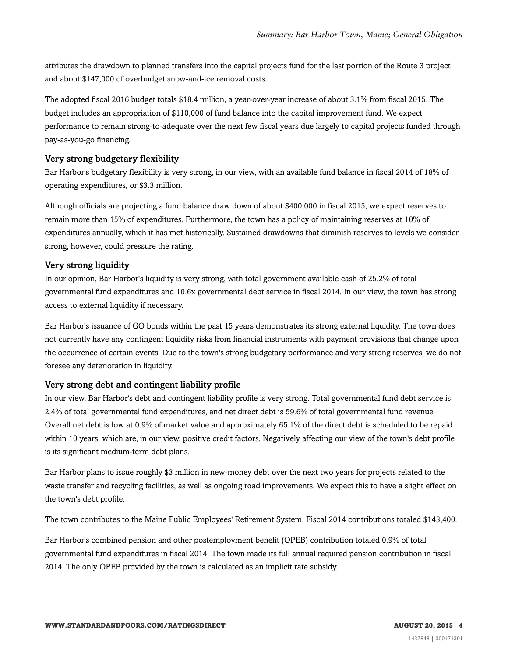attributes the drawdown to planned transfers into the capital projects fund for the last portion of the Route 3 project and about \$147,000 of overbudget snow-and-ice removal costs.

The adopted fiscal 2016 budget totals \$18.4 million, a year-over-year increase of about 3.1% from fiscal 2015. The budget includes an appropriation of \$110,000 of fund balance into the capital improvement fund. We expect performance to remain strong-to-adequate over the next few fiscal years due largely to capital projects funded through pay-as-you-go financing.

#### Very strong budgetary flexibility

Bar Harbor's budgetary flexibility is very strong, in our view, with an available fund balance in fiscal 2014 of 18% of operating expenditures, or \$3.3 million.

Although officials are projecting a fund balance draw down of about \$400,000 in fiscal 2015, we expect reserves to remain more than 15% of expenditures. Furthermore, the town has a policy of maintaining reserves at 10% of expenditures annually, which it has met historically. Sustained drawdowns that diminish reserves to levels we consider strong, however, could pressure the rating.

#### Very strong liquidity

In our opinion, Bar Harbor's liquidity is very strong, with total government available cash of 25.2% of total governmental fund expenditures and 10.6x governmental debt service in fiscal 2014. In our view, the town has strong access to external liquidity if necessary.

Bar Harbor's issuance of GO bonds within the past 15 years demonstrates its strong external liquidity. The town does not currently have any contingent liquidity risks from financial instruments with payment provisions that change upon the occurrence of certain events. Due to the town's strong budgetary performance and very strong reserves, we do not foresee any deterioration in liquidity.

#### Very strong debt and contingent liability profile

In our view, Bar Harbor's debt and contingent liability profile is very strong. Total governmental fund debt service is 2.4% of total governmental fund expenditures, and net direct debt is 59.6% of total governmental fund revenue. Overall net debt is low at 0.9% of market value and approximately 65.1% of the direct debt is scheduled to be repaid within 10 years, which are, in our view, positive credit factors. Negatively affecting our view of the town's debt profile is its significant medium-term debt plans.

Bar Harbor plans to issue roughly \$3 million in new-money debt over the next two years for projects related to the waste transfer and recycling facilities, as well as ongoing road improvements. We expect this to have a slight effect on the town's debt profile.

The town contributes to the Maine Public Employees' Retirement System. Fiscal 2014 contributions totaled \$143,400.

Bar Harbor's combined pension and other postemployment benefit (OPEB) contribution totaled 0.9% of total governmental fund expenditures in fiscal 2014. The town made its full annual required pension contribution in fiscal 2014. The only OPEB provided by the town is calculated as an implicit rate subsidy.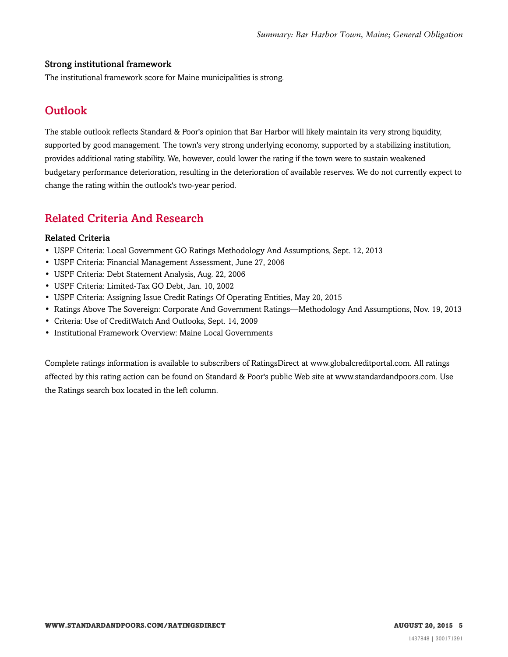#### Strong institutional framework

<span id="page-4-0"></span>The institutional framework score for Maine municipalities is strong.

# **Outlook**

The stable outlook reflects Standard & Poor's opinion that Bar Harbor will likely maintain its very strong liquidity, supported by good management. The town's very strong underlying economy, supported by a stabilizing institution, provides additional rating stability. We, however, could lower the rating if the town were to sustain weakened budgetary performance deterioration, resulting in the deterioration of available reserves. We do not currently expect to change the rating within the outlook's two-year period.

# <span id="page-4-1"></span>Related Criteria And Research

#### Related Criteria

- USPF Criteria: Local Government GO Ratings Methodology And Assumptions, Sept. 12, 2013
- USPF Criteria: Financial Management Assessment, June 27, 2006
- USPF Criteria: Debt Statement Analysis, Aug. 22, 2006
- USPF Criteria: Limited-Tax GO Debt, Jan. 10, 2002
- USPF Criteria: Assigning Issue Credit Ratings Of Operating Entities, May 20, 2015
- Ratings Above The Sovereign: Corporate And Government Ratings—Methodology And Assumptions, Nov. 19, 2013
- Criteria: Use of CreditWatch And Outlooks, Sept. 14, 2009
- Institutional Framework Overview: Maine Local Governments

Complete ratings information is available to subscribers of RatingsDirect at www.globalcreditportal.com. All ratings affected by this rating action can be found on Standard & Poor's public Web site at www.standardandpoors.com. Use the Ratings search box located in the left column.